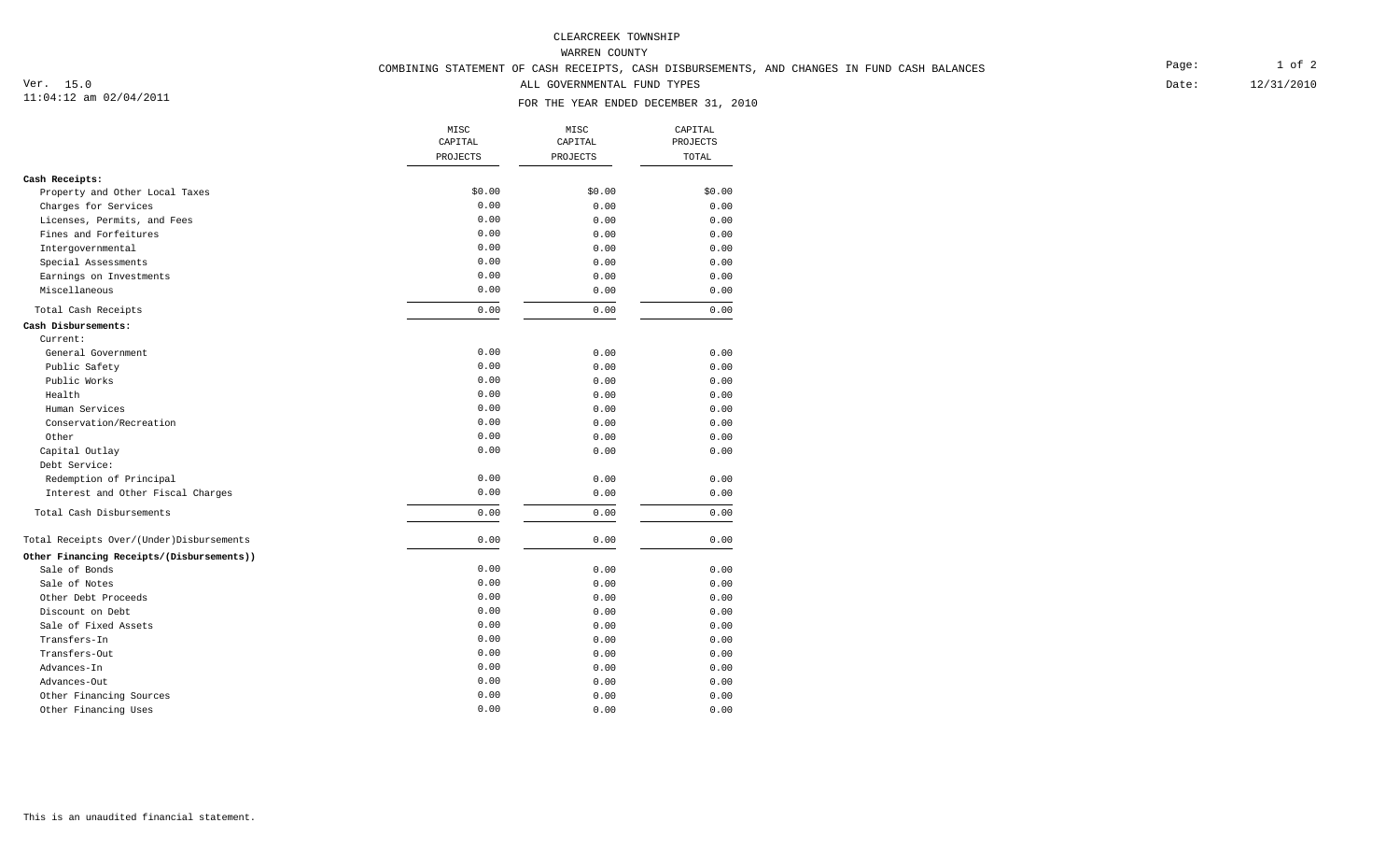WARREN COUNTY

# COMBINING STATEMENT OF CASH RECEIPTS, CASH DISBURSEMENTS, AND CHANGES IN FUND CASH BALANCES

ALL GOVERNMENTAL FUND TYPES

### FOR THE YEAR ENDED DECEMBER 31, 2010

|                                           | MISC<br>CAPITAL | MISC<br>CAPITAL<br>PROJECTS | CAPITAL<br>PROJECTS<br>TOTAL |
|-------------------------------------------|-----------------|-----------------------------|------------------------------|
|                                           | PROJECTS        |                             |                              |
|                                           |                 |                             |                              |
| Cash Receipts:                            |                 |                             |                              |
| Property and Other Local Taxes            | \$0.00          | \$0.00                      | \$0.00                       |
| Charges for Services                      | 0.00            | 0.00                        | 0.00                         |
| Licenses, Permits, and Fees               | 0.00            | 0.00                        | 0.00                         |
| Fines and Forfeitures                     | 0.00            | 0.00                        | 0.00                         |
| Intergovernmental                         | 0.00            | 0.00                        | 0.00                         |
| Special Assessments                       | 0.00            | 0.00                        | 0.00                         |
| Earnings on Investments                   | 0.00            | 0.00                        | 0.00                         |
| Miscellaneous                             | 0.00            | 0.00                        | 0.00                         |
| Total Cash Receipts                       | 0.00            | 0.00                        | 0.00                         |
| Cash Disbursements:                       |                 |                             |                              |
| Current:                                  |                 |                             |                              |
| General Government                        | 0.00            | 0.00                        | 0.00                         |
| Public Safety                             | 0.00            | 0.00                        | 0.00                         |
| Public Works                              | 0.00            | 0.00                        | 0.00                         |
| Health                                    | 0.00            | 0.00                        | 0.00                         |
| Human Services                            | 0.00            | 0.00                        | 0.00                         |
| Conservation/Recreation                   | 0.00            | 0.00                        | 0.00                         |
| Other                                     | 0.00            | 0.00                        | 0.00                         |
| Capital Outlay                            | 0.00            | 0.00                        | 0.00                         |
| Debt Service:                             |                 |                             |                              |
| Redemption of Principal                   | 0.00            | 0.00                        | 0.00                         |
| Interest and Other Fiscal Charges         | 0.00            | 0.00                        | 0.00                         |
| Total Cash Disbursements                  | 0.00            | 0.00                        | 0.00                         |
| Total Receipts Over/(Under)Disbursements  | 0.00            | 0.00                        | 0.00                         |
| Other Financing Receipts/(Disbursements)) |                 |                             |                              |
| Sale of Bonds                             | 0.00            | 0.00                        | 0.00                         |
| Sale of Notes                             | 0.00            | 0.00                        | 0.00                         |
| Other Debt Proceeds                       | 0.00            | 0.00                        | 0.00                         |
| Discount on Debt                          | 0.00            | 0.00                        | 0.00                         |
| Sale of Fixed Assets                      | 0.00            | 0.00                        | 0.00                         |
| Transfers-In                              | 0.00            | 0.00                        | 0.00                         |
| Transfers-Out                             | 0.00            | 0.00                        | 0.00                         |
| Advances-In                               | 0.00            | 0.00                        | 0.00                         |
| Advances-Out                              | 0.00            | 0.00                        | 0.00                         |
| Other Financing Sources                   | 0.00            | 0.00                        | 0.00                         |
| Other Financing Uses                      | 0.00            | 0.00                        | 0.00                         |

Date:

12/31/2010